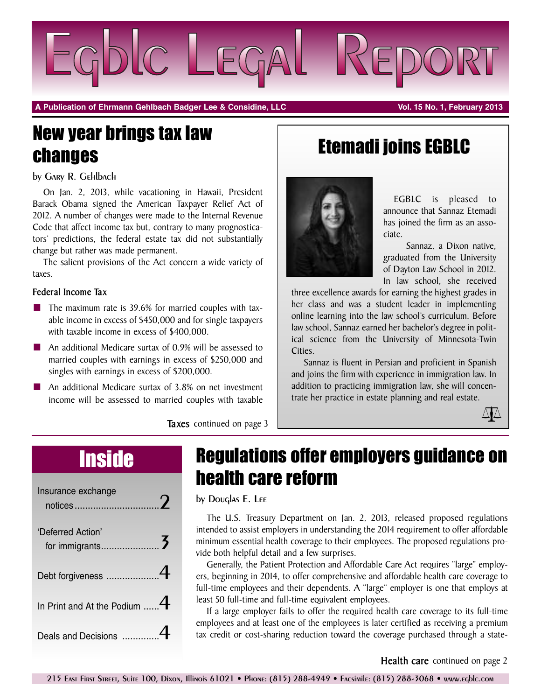

**A Publication of Ehrmann Gehlbach Badger Lee & Considine, LLC Vol. 15 No. 1, February 2013**

# New year brings tax law changes

by Gary R. Gehlbach

On Jan. 2, 2013, while vacationing in Hawaii, President Barack Obama signed the American Taxpayer Relief Act of 2012. A number of changes were made to the Internal Revenue Code that affect income tax but, contrary to many prognosticators' predictions, the federal estate tax did not substantially change but rather was made permanent.

The salient provisions of the Act concern a wide variety of taxes.

### **Federal Income Tax**

- **■** The maximum rate is 39.6% for married couples with taxable income in excess of \$450,000 and for single taxpayers with taxable income in excess of \$400,000.
- An additional Medicare surtax of 0.9% will be assessed to married couples with earnings in excess of \$250,000 and singles with earnings in excess of \$200,000.
- An additional Medicare surtax of 3.8% on net investment income will be assessed to married couples with taxable

# Etemadi joins EGBLC



EGBLC is pleased to announce that Sannaz Etemadi has joined the firm as an associate.

Sannaz, a Dixon native, graduated from the University of Dayton Law School in 2012. In law school, she received

three excellence awards for earning the highest grades in her class and was a student leader in implementing online learning into the law school's curriculum. Before law school, Sannaz earned her bachelor's degree in political science from the University of Minnesota-Twin Cities.

Sannaz is fluent in Persian and proficient in Spanish and joins the firm with experience in immigration law. In addition to practicing immigration law, she will concentrate her practice in estate planning and real estate.



**Taxes** continued on page 3

| Insurance exchange                |  |
|-----------------------------------|--|
| 'Deferred Action'                 |  |
| Debt forgiveness 4                |  |
| In Print and At the Podium $$ $4$ |  |
| Deals and Decisions               |  |

# Inside Regulations offer employers guidance on health care reform

by Douglas E. Lee

The U.S. Treasury Department on Jan. 2, 2013, released proposed regulations intended to assist employers in understanding the 2014 requirement to offer affordable minimum essential health coverage to their employees. The proposed regulations provide both helpful detail and a few surprises.

Generally, the Patient Protection and Affordable Care Act requires "large" employers, beginning in 2014, to offer comprehensive and affordable health care coverage to full-time employees and their dependents. A "large" employer is one that employs at least 50 full-time and full-time equivalent employees.

If a large employer fails to offer the required health care coverage to its full-time employees and at least one of the employees is later certified as receiving a premium tax credit or cost-sharing reduction toward the coverage purchased through a state-

## **Health care** continued on page 2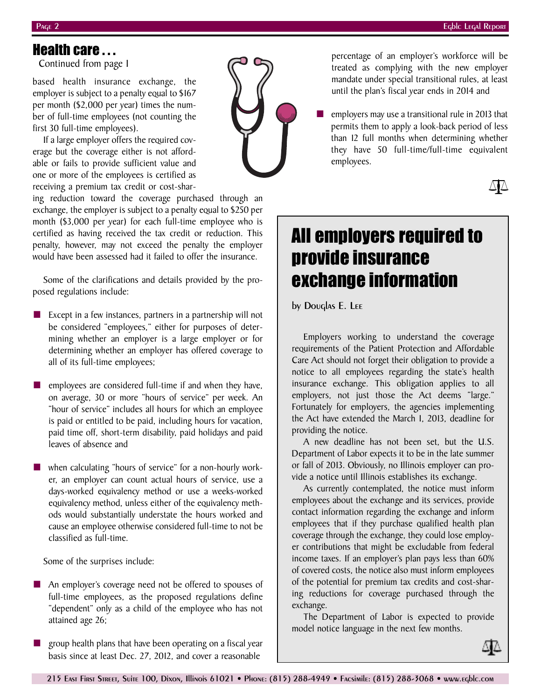$\Delta \Delta$ 

# Health care . . .

Continued from page 1

based health insurance exchange, the employer is subject to a penalty equal to \$167 per month (\$2,000 per year) times the number of full-time employees (not counting the first 30 full-time employees).

If a large employer offers the required coverage but the coverage either is not affordable or fails to provide sufficient value and one or more of the employees is certified as receiving a premium tax credit or cost-shar-

ing reduction toward the coverage purchased through an exchange, the employer is subject to a penalty equal to \$250 per month (\$3,000 per year) for each full-time employee who is certified as having received the tax credit or reduction. This penalty, however, may not exceed the penalty the employer would have been assessed had it failed to offer the insurance.

Some of the clarifications and details provided by the proposed regulations include:

**■** Except in a few instances, partners in a partnership will not be considered "employees," either for purposes of determining whether an employer is a large employer or for determining whether an employer has offered coverage to all of its full-time employees;

employees are considered full-time if and when they have, on average, 30 or more "hours of service" per week. An "hour of service" includes all hours for which an employee is paid or entitled to be paid, including hours for vacation, paid time off, short-term disability, paid holidays and paid leaves of absence and

when calculating "hours of service" for a non-hourly worker, an employer can count actual hours of service, use a days-worked equivalency method or use a weeks-worked equivalency method, unless either of the equivalency methods would substantially understate the hours worked and cause an employee otherwise considered full-time to not be classified as full-time.

Some of the surprises include:

- An employer's coverage need not be offered to spouses of full-time employees, as the proposed regulations define "dependent" only as a child of the employee who has not attained age 26;
- **■** group health plans that have been operating on a fiscal year basis since at least Dec. 27, 2012, and cover a reasonable

percentage of an employer's workforce will be treated as complying with the new employer mandate under special transitional rules, at least until the plan's fiscal year ends in 2014 and

**■** employers may use a transitional rule in 2013 that permits them to apply a look-back period of less than 12 full months when determining whether they have 50 full-time/full-time equivalent employees.

All employers required to provide insurance exchange information

by Douglas E. Lee

Employers working to understand the coverage requirements of the Patient Protection and Affordable Care Act should not forget their obligation to provide a notice to all employees regarding the state's health insurance exchange. This obligation applies to all employers, not just those the Act deems "large." Fortunately for employers, the agencies implementing the Act have extended the March 1, 2013, deadline for providing the notice.

A new deadline has not been set, but the U.S. Department of Labor expects it to be in the late summer or fall of 2013. Obviously, no Illinois employer can provide a notice until Illinois establishes its exchange.

As currently contemplated, the notice must inform employees about the exchange and its services, provide contact information regarding the exchange and inform employees that if they purchase qualified health plan coverage through the exchange, they could lose employer contributions that might be excludable from federal income taxes. If an employer's plan pays less than 60% of covered costs, the notice also must inform employees of the potential for premium tax credits and cost-sharing reductions for coverage purchased through the exchange.

The Department of Labor is expected to provide model notice language in the next few months.



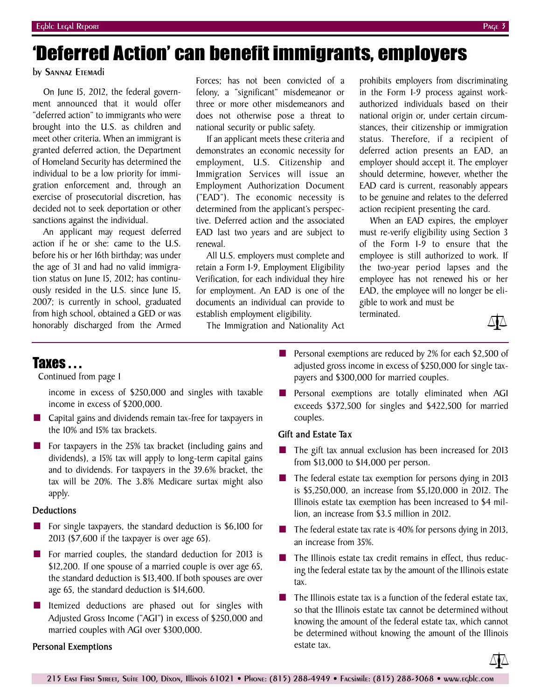# 'Deferred Action' can benefit immigrants, employers

### by Sannaz Etemadi

On June 15, 2012, the federal government announced that it would offer "deferred action" to immigrants who were brought into the U.S. as children and meet other criteria. When an immigrant is granted deferred action, the Department of Homeland Security has determined the individual to be a low priority for immigration enforcement and, through an exercise of prosecutorial discretion, has decided not to seek deportation or other sanctions against the individual.

An applicant may request deferred action if he or she: came to the U.S. before his or her 16th birthday; was under the age of 31 and had no valid immigration status on June 15, 2012; has continuously resided in the U.S. since June 15, 2007; is currently in school, graduated from high school, obtained a GED or was honorably discharged from the Armed Forces; has not been convicted of a felony, a "significant" misdemeanor or three or more other misdemeanors and does not otherwise pose a threat to national security or public safety.

If an applicant meets these criteria and demonstrates an economic necessity for employment, U.S. Citizenship and Immigration Services will issue an Employment Authorization Document ("EAD"). The economic necessity is determined from the applicant's perspective. Deferred action and the associated EAD last two years and are subject to renewal.

All U.S. employers must complete and retain a Form I-9, Employment Eligibility Verification, for each individual they hire for employment. An EAD is one of the documents an individual can provide to establish employment eligibility.

The Immigration and Nationality Act

prohibits employers from discriminating in the Form I-9 process against workauthorized individuals based on their national origin or, under certain circumstances, their citizenship or immigration status. Therefore, if a recipient of deferred action presents an EAD, an employer should accept it. The employer should determine, however, whether the EAD card is current, reasonably appears to be genuine and relates to the deferred action recipient presenting the card.

When an EAD expires, the employer must re-verify eligibility using Section 3 of the Form I-9 to ensure that the employee is still authorized to work. If the two-year period lapses and the employee has not renewed his or her EAD, the employee will no longer be eligible to work and must be

terminated.



## Taxes . . .

Continued from page 1

income in excess of \$250,000 and singles with taxable income in excess of \$200,000.

- Capital gains and dividends remain tax-free for taxpayers in the 10% and 15% tax brackets.
- For taxpayers in the 25% tax bracket (including gains and dividends), a 15% tax will apply to long-term capital gains and to dividends. For taxpayers in the 39.6% bracket, the tax will be 20%. The 3.8% Medicare surtax might also apply.

### **Deductions**

- For single taxpayers, the standard deduction is \$6,100 for 2013 (\$7,600 if the taxpayer is over age 65).
- For married couples, the standard deduction for 2013 is \$12,200. If one spouse of a married couple is over age 65, the standard deduction is \$13,400. If both spouses are over age 65, the standard deduction is \$14,600.
- Itemized deductions are phased out for singles with Adjusted Gross Income ("AGI") in excess of \$250,000 and married couples with AGI over \$300,000.

### **Personal Exemptions**

- Personal exemptions are reduced by 2% for each \$2,500 of adjusted gross income in excess of \$250,000 for single taxpayers and \$300,000 for married couples.
- Personal exemptions are totally eliminated when AGI exceeds \$372,500 for singles and \$422,500 for married couples.

### **Gift and Estate Tax**

- The gift tax annual exclusion has been increased for 2013 from \$13,000 to \$14,000 per person.
- The federal estate tax exemption for persons dying in 2013 is \$5,250,000, an increase from \$5,120,000 in 2012. The Illinois estate tax exemption has been increased to \$4 million, an increase from \$3.5 million in 2012.
- The federal estate tax rate is 40% for persons dying in 2013, an increase from 35%.
- The Illinois estate tax credit remains in effect, thus reducing the federal estate tax by the amount of the Illinois estate tax.
- The Illinois estate tax is a function of the federal estate tax, so that the Illinois estate tax cannot be determined without knowing the amount of the federal estate tax, which cannot be determined without knowing the amount of the Illinois estate tax.